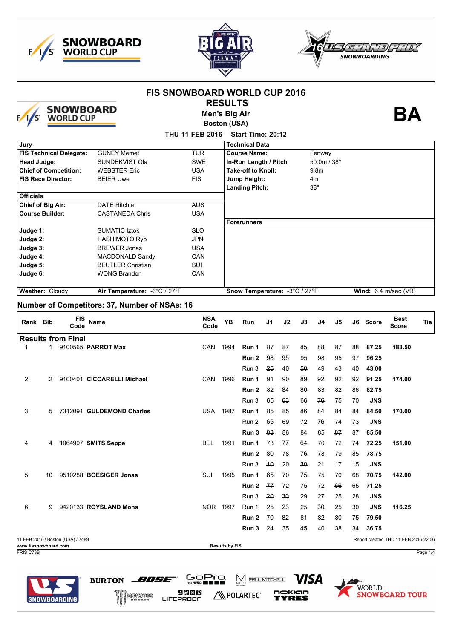





|                                                           |    |                                | <b>SNOWBOARD</b><br>WORLD CUP                                | <b>FIS SNOWBOARD WORLD CUP 2016</b> | <b>RESULTS</b><br><b>Men's Big Air</b><br><b>Boston (USA)</b> |                                                                        |     |    |    |             |    |    |            |                        |            |  |
|-----------------------------------------------------------|----|--------------------------------|--------------------------------------------------------------|-------------------------------------|---------------------------------------------------------------|------------------------------------------------------------------------|-----|----|----|-------------|----|----|------------|------------------------|------------|--|
|                                                           |    |                                |                                                              | THU 11 FEB 2016 Start Time: 20:12   |                                                               |                                                                        |     |    |    |             |    |    |            |                        |            |  |
| Jury                                                      |    |                                |                                                              |                                     |                                                               | <b>Technical Data</b>                                                  |     |    |    |             |    |    |            |                        |            |  |
|                                                           |    | <b>FIS Technical Delegate:</b> | <b>GUNEY Memet</b>                                           | <b>TUR</b>                          |                                                               | <b>Course Name:</b>                                                    |     |    |    | Fenway      |    |    |            |                        |            |  |
| <b>Head Judge:</b>                                        |    |                                | SUNDEKVIST Ola                                               | <b>SWE</b>                          |                                                               |                                                                        |     |    |    | 50.0m / 38° |    |    |            |                        |            |  |
|                                                           |    |                                | <b>WEBSTER Eric</b>                                          | <b>USA</b>                          |                                                               | In-Run Length / Pitch<br><b>Take-off to Knoll:</b><br>9.8 <sub>m</sub> |     |    |    |             |    |    |            |                        |            |  |
| <b>Chief of Competition:</b><br><b>FIS Race Director:</b> |    |                                | <b>FIS</b><br><b>BEIER Uwe</b>                               |                                     |                                                               | Jump Height:                                                           |     |    |    | 4m          |    |    |            |                        |            |  |
|                                                           |    |                                |                                                              |                                     |                                                               | <b>Landing Pitch:</b>                                                  |     |    |    | $38^\circ$  |    |    |            |                        |            |  |
| <b>Officials</b>                                          |    |                                |                                                              |                                     |                                                               |                                                                        |     |    |    |             |    |    |            |                        |            |  |
| <b>Chief of Big Air:</b>                                  |    |                                | <b>DATE Ritchie</b>                                          | <b>AUS</b>                          |                                                               |                                                                        |     |    |    |             |    |    |            |                        |            |  |
| <b>Course Builder:</b>                                    |    |                                | <b>CASTANEDA Chris</b>                                       | <b>USA</b>                          |                                                               |                                                                        |     |    |    |             |    |    |            |                        |            |  |
|                                                           |    |                                |                                                              |                                     |                                                               | <b>Forerunners</b>                                                     |     |    |    |             |    |    |            |                        |            |  |
| Judge 1:                                                  |    |                                | <b>SUMATIC Iztok</b>                                         | <b>SLO</b>                          |                                                               |                                                                        |     |    |    |             |    |    |            |                        |            |  |
| Judge 2:                                                  |    |                                | <b>HASHIMOTO Ryo</b>                                         | <b>JPN</b>                          |                                                               |                                                                        |     |    |    |             |    |    |            |                        |            |  |
| Judge 3:                                                  |    |                                | <b>BREWER Jonas</b>                                          | <b>USA</b><br>CAN                   |                                                               |                                                                        |     |    |    |             |    |    |            |                        |            |  |
| Judge 4:<br>Judge 5:                                      |    |                                | <b>MACDONALD Sandy</b><br><b>BEUTLER Christian</b>           | <b>SUI</b>                          |                                                               |                                                                        |     |    |    |             |    |    |            |                        |            |  |
| Judge 6:                                                  |    |                                | <b>WONG Brandon</b>                                          | CAN                                 |                                                               |                                                                        |     |    |    |             |    |    |            |                        |            |  |
|                                                           |    |                                |                                                              |                                     |                                                               |                                                                        |     |    |    |             |    |    |            |                        |            |  |
| Weather: Cloudy                                           |    |                                | Air Temperature: - 3°C / 27°F                                |                                     |                                                               | Snow Temperature: -3°C / 27°F                                          |     |    |    |             |    |    |            | Wind: $6.4$ m/sec (VR) |            |  |
|                                                           |    |                                |                                                              |                                     |                                                               |                                                                        |     |    |    |             |    |    |            |                        |            |  |
| Rank Bib                                                  |    | FIS<br>Code                    | Number of Competitors: 37, Number of NSAs: 16<br><b>Name</b> | <b>NSA</b><br>Code                  | YB                                                            | Run                                                                    | J1  | J2 | J3 | J4          | J5 |    | J6 Score   | Best<br><b>Score</b>   |            |  |
|                                                           |    | <b>Results from Final</b>      |                                                              |                                     |                                                               |                                                                        |     |    |    |             |    |    |            |                        |            |  |
| $\mathbf{1}$                                              | 1. |                                | 9100565 PARROT Max                                           | <b>CAN</b>                          | 1994                                                          | Run 1                                                                  | 87  | 87 | 85 | 88          | 87 | 88 | 87.25      | 183.50                 |            |  |
|                                                           |    |                                |                                                              |                                     |                                                               | Run 2                                                                  | 98  | 95 | 95 | 98          | 95 | 97 | 96.25      |                        |            |  |
|                                                           |    |                                |                                                              |                                     |                                                               | Run 3                                                                  | 25  | 40 | 50 | 49          | 43 | 40 | 43.00      |                        |            |  |
| 2                                                         | 2  |                                | 9100401 CICCARELLI Michael                                   | <b>CAN</b>                          | 1996                                                          | Run 1                                                                  | 91  | 90 | 89 | 92          | 92 | 92 | 91.25      | 174.00                 |            |  |
|                                                           |    |                                |                                                              |                                     |                                                               | Run 2                                                                  | 82  | 84 | 80 | 83          | 82 | 86 | 82.75      |                        |            |  |
|                                                           |    |                                |                                                              |                                     |                                                               | Run 3                                                                  | 65  | 63 | 66 | 76          | 75 | 70 | <b>JNS</b> |                        |            |  |
| 3                                                         | 5  |                                | 7312091 GULDEMOND Charles                                    | USA.                                | 1987                                                          | Run 1                                                                  | 85  | 85 | 86 | 84          | 84 | 84 | 84.50      | 170.00                 |            |  |
|                                                           |    |                                |                                                              |                                     |                                                               |                                                                        | 65  | 69 | 72 | 76          | 74 | 73 | <b>JNS</b> |                        |            |  |
|                                                           |    |                                |                                                              |                                     |                                                               | Run 2                                                                  |     | 86 | 84 | 85          |    | 87 |            |                        |            |  |
|                                                           |    |                                |                                                              |                                     |                                                               | Run 3                                                                  | 83  |    |    |             | 87 |    | 85.50      |                        |            |  |
| 4                                                         | 4  |                                | 1064997 SMITS Seppe                                          | BEL.                                | 1991                                                          | Run 1                                                                  | 73  | 77 | 64 | 70          | 72 | 74 | 72.25      | 151.00                 |            |  |
|                                                           |    |                                |                                                              |                                     |                                                               | Run 2                                                                  | -80 | 78 | 76 | 78          | 79 | 85 | 78.75      |                        |            |  |
|                                                           |    |                                |                                                              |                                     |                                                               | Run 3                                                                  | 40  | 20 | 30 | 21          | 17 | 15 | <b>JNS</b> |                        |            |  |
| 5                                                         | 10 |                                | 9510288 BOESIGER Jonas                                       | SUI                                 | 1995                                                          | Run 1                                                                  | 65  | 70 | 75 | 75          | 70 | 68 | 70.75      | 142.00                 |            |  |
|                                                           |    |                                |                                                              |                                     |                                                               | Run 2                                                                  | 77  | 72 | 75 | 72          | 66 | 65 | 71.25      |                        |            |  |
|                                                           |    |                                |                                                              |                                     |                                                               | Run 3                                                                  | 20  | 30 | 29 | 27          | 25 | 28 | <b>JNS</b> |                        |            |  |
| 6                                                         | 9  |                                | 9420133 <b>ROYSLAND Mons</b>                                 |                                     | NOR 1997                                                      | Run 1                                                                  | 25  | 23 | 25 | 30          | 25 | 30 | <b>JNS</b> | 116.25                 |            |  |
|                                                           |    |                                |                                                              |                                     |                                                               | <b>Run 2</b>                                                           | 70  | 82 | 81 | 82          | 80 | 75 | 79.50      |                        |            |  |
|                                                           |    |                                |                                                              |                                     |                                                               | Run 3 24                                                               |     | 35 | 45 | 40          | 38 | 34 | 36.75      |                        | <b>Tie</b> |  |

**NEPOLARTEC**\*



BURTON BUSE

WWW.

**20038**<br>FIFEPROOF



**VISA** 

nokian<br>TYRES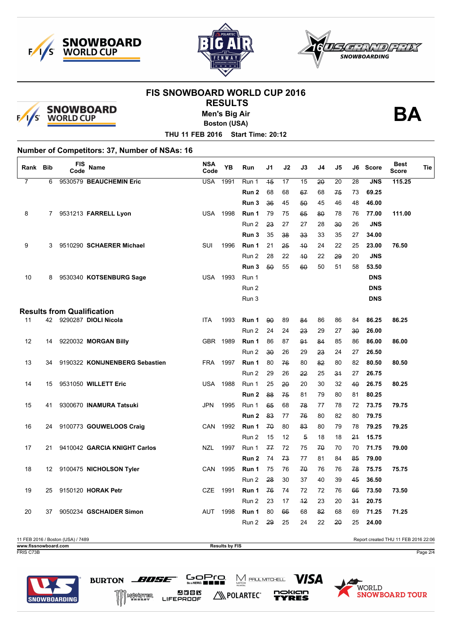





# **FIS SNOWBOARD WORLD CUP 2016 RESULTS**



**Men's Big Air**

**BA**

**Boston (USA)**

**THU 11 FEB 2016 Start Time: 20:12**

# **Number of Competitors: 37, Number of NSAs: 16**

| Rank Bib       |             | <b>FIS</b><br>Code | Name                              | <b>NSA</b><br>Code | <b>YB</b> | Run                       | J1       | J2       | J3         | J4       | J5       | J6       | <b>Score</b>   | <b>Best</b><br><b>Score</b> | Tie |
|----------------|-------------|--------------------|-----------------------------------|--------------------|-----------|---------------------------|----------|----------|------------|----------|----------|----------|----------------|-----------------------------|-----|
| $\overline{7}$ | 6           |                    | 9530579 BEAUCHEMIN Eric           | <b>USA</b>         | 1991      | Run 1                     | 45       | 17       | 15         | 20       | 20       | 28       | <b>JNS</b>     | 115.25                      |     |
|                |             |                    |                                   |                    |           | Run 2                     | 68       | 68       | 67         | 68       | 75       | 73       | 69.25          |                             |     |
|                |             |                    |                                   |                    |           | Run 3                     | 36       | 45       | 50         | 45       | 46       | 48       | 46.00          |                             |     |
| 8              | $7^{\circ}$ |                    | 9531213 FARRELL Lyon              | <b>USA</b>         | 1998      | Run 1                     | 79       | 75       | 65         | 80       | 78       | 76       | 77.00          | 111.00                      |     |
|                |             |                    |                                   |                    |           | Run 2                     | 23       | 27       | 27         | 28       | 30       | 26       | <b>JNS</b>     |                             |     |
|                |             |                    |                                   |                    |           | Run 3                     | 35       | 38       | 33         | 33       | 35       | 27       | 34.00          |                             |     |
| 9              | 3           |                    | 9510290 SCHAERER Michael          | <b>SUI</b>         | 1996      | Run 1                     | 21       | 25       | 40         | 24       | 22       | 25       | 23.00          | 76.50                       |     |
|                |             |                    |                                   |                    |           | Run 2                     | 28       | 22       | 40         | 22       | 29       | 20       | <b>JNS</b>     |                             |     |
|                |             |                    |                                   |                    |           | Run 3                     | 50       | 55       | 60         | 50       | 51       | 58       | 53.50          |                             |     |
| 10             | 8           |                    | 9530340 KOTSENBURG Sage           | <b>USA 1993</b>    |           | Run 1                     |          |          |            |          |          |          | <b>DNS</b>     |                             |     |
|                |             |                    |                                   |                    |           | Run 2                     |          |          |            |          |          |          | <b>DNS</b>     |                             |     |
|                |             |                    |                                   |                    |           | Run 3                     |          |          |            |          |          |          | <b>DNS</b>     |                             |     |
|                |             |                    | <b>Results from Qualification</b> |                    |           |                           |          |          |            |          |          |          |                |                             |     |
| 11             | 42          |                    | 9290287 DIOLI Nicola              | <b>ITA</b>         | 1993      | Run 1                     | 90       | 89       | 84         | 86       | 86       | 84       | 86.25          | 86.25                       |     |
|                |             |                    |                                   |                    |           | Run 2                     | 24       | 24       | 23         | 29       | 27       | 30       | 26.00          |                             |     |
| 12             | 14          |                    | 9220032 MORGAN Billy              | <b>GBR</b>         | 1989      | Run 1                     | 86       | 87       | 91         | 84       | 85       | 86       | 86.00          | 86.00                       |     |
|                |             |                    |                                   |                    |           | Run 2                     | 30       | 26       | 29         | 23       | 24       | 27       | 26.50          |                             |     |
| 13             | 34          |                    | 9190322 KONIJNENBERG Sebastien    | <b>FRA</b>         | 1997      | Run 1                     | 80       | 76       | 80         | 82       | 80       | 82       | 80.50          | 80.50                       |     |
|                |             |                    |                                   |                    |           | Run 2                     | 29       | 26       | 22         | 25       | 34       | 27       | 26.75          |                             |     |
| 14             | 15          |                    | 9531050 WILLETT Eric              | <b>USA</b>         | 1988      | Run 1                     | 25       | 20       | 20         | 30       | 32       | 40       | 26.75          | 80.25                       |     |
|                |             |                    |                                   |                    |           | Run 2                     | 88       | 75       | 81         | 79       | 80       | 81       | 80.25          |                             |     |
| 15             | 41          |                    | 9300670 INAMURA Tatsuki           | <b>JPN</b>         | 1995      | Run 1                     | 65       | 68       | 78         | 77       | 78       | 72       | 73.75          | 79.75                       |     |
|                |             |                    |                                   |                    |           | Run 2                     | 83       | 77       | 76         | 80       | 82       | 80       | 79.75          |                             |     |
| 16             | 24          |                    | 9100773 GOUWELOOS Craig           | CAN                | 1992      | Run 1                     | 70       | 80       | 83         | 80       | 79       | 78       | 79.25          | 79.25                       |     |
|                |             |                    |                                   |                    |           | Run 2                     | 15       | 12       | 5          | 18       | 18       | 21       | 15.75          |                             |     |
| 17             | 21          |                    | 9410042 GARCIA KNIGHT Carlos      | <b>NZL</b>         | 1997      | Run 1<br>Run <sub>2</sub> | 77<br>74 | 72<br>73 | 75<br>77   | 70<br>81 | 70       | 70<br>85 | 71.75<br>79.00 | 79.00                       |     |
|                |             |                    |                                   |                    |           |                           |          |          | 70         | 76       | 84       | 78       |                |                             |     |
| 18             | 12          |                    | 9100475 NICHOLSON Tyler           | <b>CAN</b>         | 1995      | Run 1                     | 75<br>28 | 76<br>30 | 37         | 40       | 76<br>39 |          | 75.75          | 75.75                       |     |
|                | 25          |                    |                                   | <b>CZE</b>         | 1991      | Run 2                     | 76       | 74       |            | 72       |          | 45<br>66 | 36.50          |                             |     |
| 19             |             |                    | 9150120 HORAK Petr                |                    |           | Run 1<br>Run 2            | 23       | 17       | 72<br>$+2$ | 23       | 76<br>20 | 31       | 73.50<br>20.75 | 73.50                       |     |
| 20             | 37          |                    | 9050234 GSCHAIDER Simon           | <b>AUT</b>         | 1998      | Run 1                     | 80       |          | 68         | 82       | 68       | 69       | 71.25          | 71.25                       |     |
|                |             |                    |                                   |                    |           | Run 2                     | 29       | 66<br>25 | 24         | 22       | 20       | 25       | 24.00          |                             |     |
|                |             |                    |                                   |                    |           |                           |          |          |            |          |          |          |                |                             |     |
|                |             |                    |                                   |                    |           |                           |          |          |            |          |          |          |                |                             |     |

11 FEB 2016 / Boston (USA) / 7489 Report created THU 11 FEB 2016 22:06 **www.fissnowboard.com Results by FIS** FRIS C73B Page 2/4

N POLARTEC®

 $\sum_{\text{MITCH}}$  PAUL MITCHELL

*VISA* 

nokian

YRES

GoPro.

238 E

LIFEPROOF

BURTON BUSE

MUNSTER



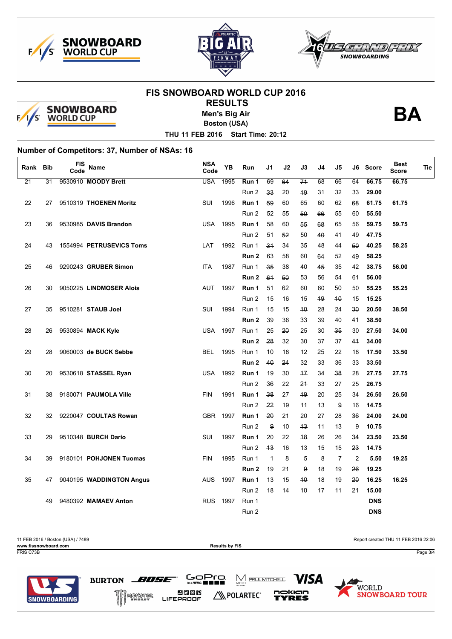





# **FIS SNOWBOARD WORLD CUP 2016 RESULTS**



**Men's Big Air**

**Boston (USA)**

**BA**

**THU 11 FEB 2016 Start Time: 20:12**

#### **Number of Competitors: 37, Number of NSAs: 16**

| Rank            | <b>Bib</b> | FIS<br>Code | <b>Name</b>              | <b>NSA</b><br>Code | <b>YB</b> | Run   | J1             | J2 | J3   | J4 | J5        | J6 | <b>Score</b> | <b>Best</b><br><b>Score</b> | Tie |
|-----------------|------------|-------------|--------------------------|--------------------|-----------|-------|----------------|----|------|----|-----------|----|--------------|-----------------------------|-----|
| $\overline{21}$ | 31         |             | 9530910 MOODY Brett      | <b>USA</b>         | 1995      | Run 1 | 69             | 64 | 74   | 68 | 66        | 64 | 66.75        | 66.75                       |     |
|                 |            |             |                          |                    |           | Run 2 | 33             | 20 | 49   | 31 | 32        | 33 | 29.00        |                             |     |
| 22              | 27         |             | 9510319 THOENEN Moritz   | SUI                | 1996      | Run 1 | 59             | 60 | 65   | 60 | 62        | 68 | 61.75        | 61.75                       |     |
|                 |            |             |                          |                    |           | Run 2 | 52             | 55 | 50   | 66 | 55        | 60 | 55.50        |                             |     |
| 23              | 36         |             | 9530985 DAVIS Brandon    | <b>USA</b>         | 1995      | Run 1 | 58             | 60 | 55   | 68 | 65        | 56 | 59.75        | 59.75                       |     |
|                 |            |             |                          |                    |           | Run 2 | 51             | 52 | 50   | 40 | 41        | 49 | 47.75        |                             |     |
| 24              | 43         |             | 1554994 PETRUSEVICS Toms | LAT                | 1992      | Run 1 | 34             | 34 | 35   | 48 | 44        | 50 | 40.25        | 58.25                       |     |
|                 |            |             |                          |                    |           | Run 2 | 63             | 58 | 60   | 64 | 52        | 49 | 58.25        |                             |     |
| 25              | 46         |             | 9290243 GRUBER Simon     | <b>ITA</b>         | 1987      | Run 1 | 35             | 38 | 40   | 45 | 35        | 42 | 38.75        | 56.00                       |     |
|                 |            |             |                          |                    |           | Run 2 | 64             | 50 | 53   | 56 | 54        | 61 | 56.00        |                             |     |
| 26              | 30         |             | 9050225 LINDMOSER Alois  | <b>AUT</b>         | 1997      | Run 1 | 51             | 62 | 60   | 60 | 50        | 50 | 55.25        | 55.25                       |     |
|                 |            |             |                          |                    |           | Run 2 | 15             | 16 | 15   | 49 | $4\theta$ | 15 | 15.25        |                             |     |
| 27              | 35         |             | 9510281 STAUB Joel       | SUI                | 1994      | Run 1 | 15             | 15 | 40   | 28 | 24        | 30 | 20.50        | 38.50                       |     |
|                 |            |             |                          |                    |           | Run 2 | 39             | 36 | 33   | 39 | 40        | 41 | 38.50        |                             |     |
| 28              | 26         |             | 9530894 MACK Kyle        | <b>USA</b>         | 1997      | Run 1 | 25             | 20 | 25   | 30 | 35        | 30 | 27.50        | 34.00                       |     |
|                 |            |             |                          |                    |           | Run 2 | 28             | 32 | 30   | 37 | 37        | 44 | 34.00        |                             |     |
| 29              | 28         |             | 9060003 de BUCK Sebbe    | <b>BEL</b>         | 1995      | Run 1 | 40             | 18 | 12   | 25 | 22        | 18 | 17.50        | 33.50                       |     |
|                 |            |             |                          |                    |           | Run 2 | 40             | 24 | 32   | 33 | 36        | 33 | 33.50        |                             |     |
| 30              | 20         |             | 9530618 STASSEL Ryan     | <b>USA</b>         | 1992      | Run 1 | 19             | 30 | $+7$ | 34 | 38        | 28 | 27.75        | 27.75                       |     |
|                 |            |             |                          |                    |           | Run 2 | 36             | 22 | 24   | 33 | 27        | 25 | 26.75        |                             |     |
| 31              | 38         |             | 9180071 PAUMOLA Ville    | <b>FIN</b>         | 1991      | Run 1 | 38             | 27 | 49   | 20 | 25        | 34 | 26.50        | 26.50                       |     |
|                 |            |             |                          |                    |           | Run 2 | 22             | 19 | 11   | 13 | 9         | 16 | 14.75        |                             |     |
| 32              | 32         |             | 9220047 COULTAS Rowan    | GBR 1997           |           | Run 1 | 20             | 21 | 20   | 27 | 28        | 36 | 24.00        | 24.00                       |     |
|                 |            |             |                          |                    |           | Run 2 | 9              | 10 | 43   | 11 | 13        | 9  | 10.75        |                             |     |
| 33              | 29         |             | 9510348 BURCH Dario      | SUI                | 1997      | Run 1 | 20             | 22 | 48   | 26 | 26        | 34 | 23.50        | 23.50                       |     |
|                 |            |             |                          |                    |           | Run 2 | 43             | 16 | 13   | 15 | 15        | 23 | 14.75        |                             |     |
| 34              | 39         |             | 9180101 POHJONEN Tuomas  | <b>FIN</b>         | 1995      | Run 1 | $\overline{+}$ | 8  | 5    | 8  | 7         | 2  | 5.50         | 19.25                       |     |
|                 |            |             |                          |                    |           | Run 2 | 19             | 21 | 9    | 18 | 19        | 26 | 19.25        |                             |     |
| 35              | 47         |             | 9040195 WADDINGTON Angus | <b>AUS</b>         | 1997      | Run 1 | 13             | 15 | 40   | 18 | 19        | 20 | 16.25        | 16.25                       |     |
|                 |            |             |                          |                    |           | Run 2 | 18             | 14 | 40   | 17 | 11        | 21 | 15.00        |                             |     |
|                 | 49         |             | 9480392 MAMAEV Anton     | <b>RUS</b>         | 1997      | Run 1 |                |    |      |    |           |    | <b>DNS</b>   |                             |     |
|                 |            |             |                          |                    |           | Run 2 |                |    |      |    |           |    | <b>DNS</b>   |                             |     |

N POLARTEC®

 $\sum_{\text{MITCH}}$  PAUL MITCHELL

*VISA* 

nokian

YRES

WORLD

**SNOWBOARD TOUR** 

GoPro.

238 E

LIFEPROOF

BURTON BUSE

MUNSTER